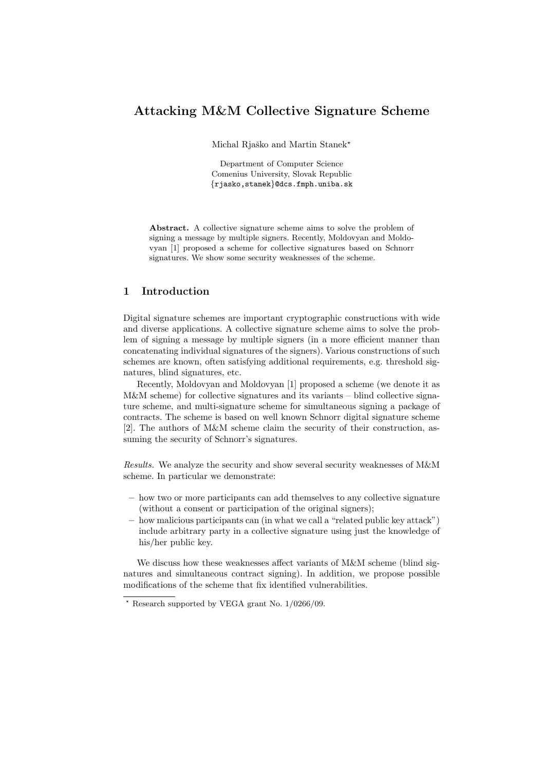# Attacking M&M Collective Signature Scheme

Michal Rjaško and Martin Stanek\*

Department of Computer Science Comenius University, Slovak Republic {rjasko,stanek}@dcs.fmph.uniba.sk

Abstract. A collective signature scheme aims to solve the problem of signing a message by multiple signers. Recently, Moldovyan and Moldovyan [1] proposed a scheme for collective signatures based on Schnorr signatures. We show some security weaknesses of the scheme.

# 1 Introduction

Digital signature schemes are important cryptographic constructions with wide and diverse applications. A collective signature scheme aims to solve the problem of signing a message by multiple signers (in a more efficient manner than concatenating individual signatures of the signers). Various constructions of such schemes are known, often satisfying additional requirements, e.g. threshold signatures, blind signatures, etc.

Recently, Moldovyan and Moldovyan [1] proposed a scheme (we denote it as M&M scheme) for collective signatures and its variants – blind collective signature scheme, and multi-signature scheme for simultaneous signing a package of contracts. The scheme is based on well known Schnorr digital signature scheme [2]. The authors of M&M scheme claim the security of their construction, assuming the security of Schnorr's signatures.

Results. We analyze the security and show several security weaknesses of M&M scheme. In particular we demonstrate:

- how two or more participants can add themselves to any collective signature (without a consent or participation of the original signers);
- how malicious participants can (in what we call a "related public key attack") include arbitrary party in a collective signature using just the knowledge of his/her public key.

We discuss how these weaknesses affect variants of M&M scheme (blind signatures and simultaneous contract signing). In addition, we propose possible modifications of the scheme that fix identified vulnerabilities.

 $*$  Research supported by VEGA grant No.  $1/0266/09$ .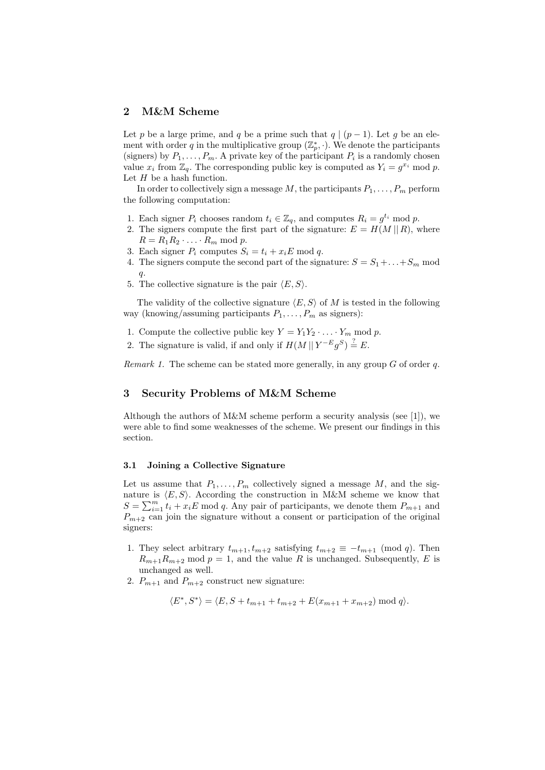# 2 M&M Scheme

Let p be a large prime, and q be a prime such that  $q | (p-1)$ . Let g be an element with order q in the multiplicative group  $(\mathbb{Z}_p^*, \cdot)$ . We denote the participants (signers) by  $P_1, \ldots, P_m$ . A private key of the participant  $P_i$  is a randomly chosen value  $x_i$  from  $\mathbb{Z}_q$ . The corresponding public key is computed as  $Y_i = g^{x_i} \mod p$ . Let  $H$  be a hash function.

In order to collectively sign a message M, the participants  $P_1, \ldots, P_m$  perform the following computation:

- 1. Each signer  $P_i$  chooses random  $t_i \in \mathbb{Z}_q$ , and computes  $R_i = g^{t_i} \mod p$ .
- 2. The signers compute the first part of the signature:  $E = H(M || R)$ , where  $R = R_1 R_2 \cdot \ldots \cdot R_m \bmod p.$
- 3. Each signer  $P_i$  computes  $S_i = t_i + x_i E \text{ mod } q$ .
- 4. The signers compute the second part of the signature:  $S = S_1 + ... + S_m$  mod q.
- 5. The collective signature is the pair  $\langle E, S \rangle$ .

The validity of the collective signature  $\langle E, S \rangle$  of M is tested in the following way (knowing/assuming participants  $P_1, \ldots, P_m$  as signers):

- 1. Compute the collective public key  $Y = Y_1 Y_2 \cdot \ldots \cdot Y_m \text{ mod } p$ .
- 2. The signature is valid, if and only if  $H(M || Y^{-E} g^{S}) \stackrel{?}{=} E$ .

Remark 1. The scheme can be stated more generally, in any group  $G$  of order  $q$ .

# 3 Security Problems of M&M Scheme

Although the authors of  $M\&M$  scheme perform a security analysis (see [1]), we were able to find some weaknesses of the scheme. We present our findings in this section.

## 3.1 Joining a Collective Signature

Let us assume that  $P_1, \ldots, P_m$  collectively signed a message M, and the signature is  $\langle E, S \rangle$ . According the construction in M&M scheme we know that  $S = \sum_{i=1}^{m} t_i + x_i E \mod q$ . Any pair of participants, we denote them  $P_{m+1}$  and  $P_{m+2}$  can join the signature without a consent or participation of the original signers:

- 1. They select arbitrary  $t_{m+1}, t_{m+2}$  satisfying  $t_{m+2} \equiv -t_{m+1} \pmod{q}$ . Then  $R_{m+1}R_{m+2}$  mod  $p=1$ , and the value R is unchanged. Subsequently, E is unchanged as well.
- 2.  $P_{m+1}$  and  $P_{m+2}$  construct new signature:

$$
\langle E^*, S^* \rangle = \langle E, S + t_{m+1} + t_{m+2} + E(x_{m+1} + x_{m+2}) \bmod q \rangle.
$$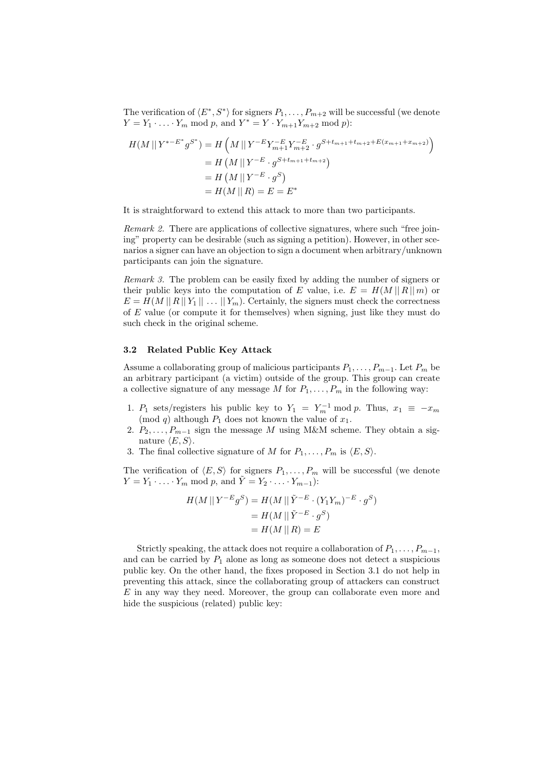The verification of  $\langle E^*, S^* \rangle$  for signers  $P_1, \ldots, P_{m+2}$  will be successful (we denote  $Y = Y_1 \cdot ... \cdot Y_m \text{ mod } p, \text{ and } Y^* = Y \cdot Y_{m+1} Y_{m+2} \text{ mod } p).$ 

$$
H(M \mid | Y^{*-E^*} g^{S^*}) = H\left(M \mid | Y^{-E} Y_{m+1}^{-E} Y_{m+2}^{-E} \cdot g^{S+t_{m+1}+t_{m+2}+E(x_{m+1}+x_{m+2})}\right)
$$
  
=  $H\left(M \mid | Y^{-E} \cdot g^{S+t_{m+1}+t_{m+2}}\right)$   
=  $H\left(M \mid | Y^{-E} \cdot g^S\right)$   
=  $H(M \mid R) = E = E^*$ 

It is straightforward to extend this attack to more than two participants.

Remark 2. There are applications of collective signatures, where such "free joining" property can be desirable (such as signing a petition). However, in other scenarios a signer can have an objection to sign a document when arbitrary/unknown participants can join the signature.

Remark 3. The problem can be easily fixed by adding the number of signers or their public keys into the computation of E value, i.e.  $E = H(M || R || m)$  or  $E = H(M || R || Y_1 || \dots || Y_m)$ . Certainly, the signers must check the correctness of E value (or compute it for themselves) when signing, just like they must do such check in the original scheme.

#### 3.2 Related Public Key Attack

Assume a collaborating group of malicious participants  $P_1, \ldots, P_{m-1}$ . Let  $P_m$  be an arbitrary participant (a victim) outside of the group. This group can create a collective signature of any message  $M$  for  $P_1, \ldots, P_m$  in the following way:

- 1.  $P_1$  sets/registers his public key to  $Y_1 = Y_m^{-1} \mod p$ . Thus,  $x_1 \equiv -x_m$ (mod q) although  $P_1$  does not known the value of  $x_1$ .
- 2.  $P_2, \ldots, P_{m-1}$  sign the message M using M&M scheme. They obtain a signature  $\langle E, S \rangle$ .
- 3. The final collective signature of M for  $P_1, \ldots, P_m$  is  $\langle E, S \rangle$ .

The verification of  $\langle E, S \rangle$  for signers  $P_1, \ldots, P_m$  will be successful (we denote  $Y = Y_1 \cdot \ldots \cdot Y_m \text{ mod } p \text{, and } Y = Y_2 \cdot \ldots \cdot Y_{m-1}$ :

$$
H(M \mid |Y^{-E}g^{S}) = H(M \mid | \tilde{Y}^{-E} \cdot (Y_{1}Y_{m})^{-E} \cdot g^{S})
$$
  
=  $H(M \mid | \tilde{Y}^{-E} \cdot g^{S})$   
=  $H(M \mid R) = E$ 

Strictly speaking, the attack does not require a collaboration of  $P_1, \ldots, P_{m-1}$ , and can be carried by  $P_1$  alone as long as someone does not detect a suspicious public key. On the other hand, the fixes proposed in Section 3.1 do not help in preventing this attack, since the collaborating group of attackers can construct E in any way they need. Moreover, the group can collaborate even more and hide the suspicious (related) public key: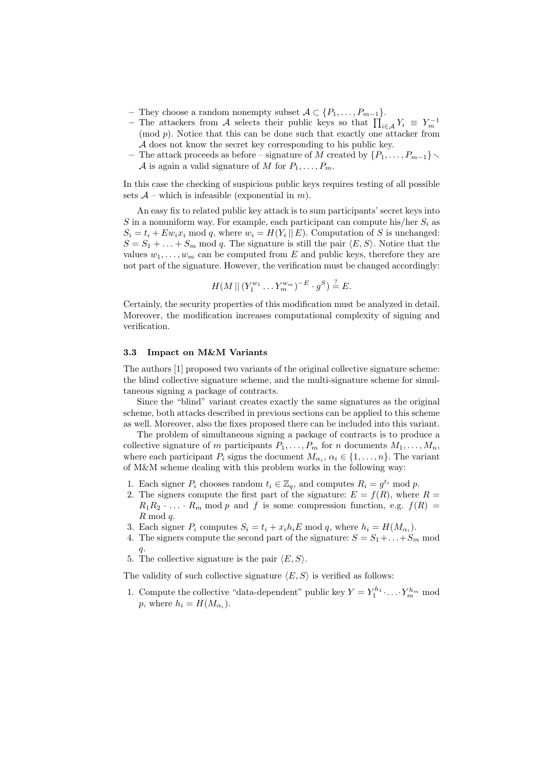- They choose a random nonempty subset  $A \subset \{P_1, \ldots, P_{m-1}\}.$
- − The attackers from A selects their public keys so that  $\prod_{i\in\mathcal{A}} Y_i \equiv Y_m^{-1}$  $(mod p)$ . Notice that this can be done such that exactly one attacker from A does not know the secret key corresponding to his public key.
- The attack proceeds as before signature of M created by  $\{P_1, \ldots, P_{m-1}\}\right.$ A is again a valid signature of M for  $P_1, \ldots, P_m$ .

In this case the checking of suspicious public keys requires testing of all possible sets  $A$  – which is infeasible (exponential in m).

An easy fix to related public key attack is to sum participants' secret keys into S in a nonuniform way. For example, each participant can compute his/her  $S_i$  as  $S_i = t_i + E w_i x_i \mod q$ , where  $w_i = H(Y_i || E)$ . Computation of S is unchanged:  $S = S_1 + \ldots + S_m$  mod q. The signature is still the pair  $\langle E, S \rangle$ . Notice that the values  $w_1, \ldots, w_m$  can be computed from E and public keys, therefore they are not part of the signature. However, the verification must be changed accordingly:

$$
H(M || (Y_1^{w_1} \dots Y_m^{w_m})^{-E} \cdot g^S) \stackrel{?}{=} E.
$$

Certainly, the security properties of this modification must be analyzed in detail. Moreover, the modification increases computational complexity of signing and verification.

### 3.3 Impact on M&M Variants

The authors [1] proposed two variants of the original collective signature scheme: the blind collective signature scheme, and the multi-signature scheme for simultaneous signing a package of contracts.

Since the "blind" variant creates exactly the same signatures as the original scheme, both attacks described in previous sections can be applied to this scheme as well. Moreover, also the fixes proposed there can be included into this variant.

The problem of simultaneous signing a package of contracts is to produce a collective signature of m participants  $P_1, \ldots, P_m$  for n documents  $M_1, \ldots, M_n$ , where each participant  $P_i$  signs the document  $M_{\alpha_i}, \alpha_i \in \{1, ..., n\}$ . The variant of M&M scheme dealing with this problem works in the following way:

- 1. Each signer  $P_i$  chooses random  $t_i \in \mathbb{Z}_q$ , and computes  $R_i = g^{t_i} \mod p$ .
- 2. The signers compute the first part of the signature:  $E = f(R)$ , where  $R =$  $R_1R_2 \cdot \ldots \cdot R_m$  mod p and f is some compression function, e.g.  $f(R)$  =  $R \mod q$ .
- 3. Each signer  $P_i$  computes  $S_i = t_i + x_i h_i E \text{ mod } q$ , where  $h_i = H(M_{\alpha_i})$ .
- 4. The signers compute the second part of the signature:  $S = S_1 + ... + S_m$  mod q.
- 5. The collective signature is the pair  $\langle E, S \rangle$ .

The validity of such collective signature  $\langle E, S \rangle$  is verified as follows:

1. Compute the collective "data-dependent" public key  $Y = Y_1^{h_1} \cdot \ldots \cdot Y_m^{h_m}$  mod p, where  $h_i = H(M_{\alpha_i}).$